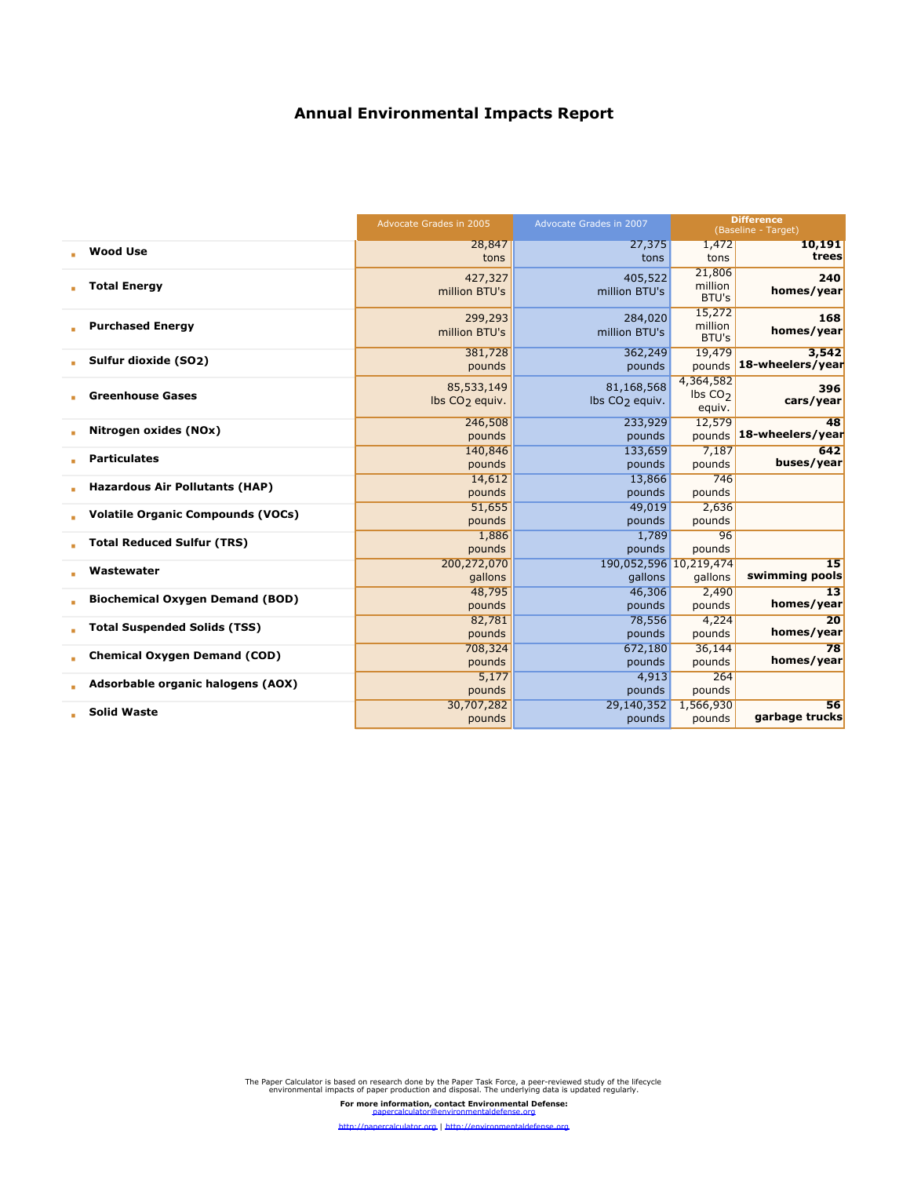|                                          | Advocate Grades in 2005                  | Advocate Grades in 2007                  | <b>Difference</b><br>(Baseline - Target) |                           |
|------------------------------------------|------------------------------------------|------------------------------------------|------------------------------------------|---------------------------|
|                                          | 28,847                                   | 27,375                                   | 1,472                                    | 10,191                    |
| <b>Wood Use</b>                          | tons                                     | tons                                     | tons                                     | trees                     |
| <b>Total Energy</b>                      | 427,327<br>million BTU's                 | 405,522<br>million BTU's                 | 21,806<br>million<br>BTU's               | 240<br>homes/year         |
| <b>Purchased Energy</b>                  | 299,293<br>million BTU's                 | 284,020<br>million BTU's                 | 15,272<br>million<br>BTU's               | 168<br>homes/year         |
| Sulfur dioxide (SO <sub>2</sub> )        | 381,728<br>pounds                        | 362,249<br>pounds                        | 19,479<br>pounds                         | 3.542<br>18-wheelers/year |
| <b>Greenhouse Gases</b>                  | 85,533,149<br>lbs CO <sub>2</sub> equiv. | 81,168,568<br>lbs CO <sub>2</sub> equiv. | 4,364,582<br>Ibs $CO2$<br>equiv.         | 396<br>cars/year          |
| Nitrogen oxides (NOx)                    | 246,508                                  | 233,929                                  | 12,579                                   | 48                        |
|                                          | pounds                                   | pounds                                   | pounds                                   | 18-wheelers/year          |
| <b>Particulates</b>                      | 140,846                                  | 133,659                                  | 7,187                                    | 642                       |
|                                          | pounds                                   | pounds                                   | pounds                                   | buses/year                |
| <b>Hazardous Air Pollutants (HAP)</b>    | 14,612<br>pounds                         | 13,866<br>pounds                         | 746<br>pounds                            |                           |
| <b>Volatile Organic Compounds (VOCs)</b> | 51,655<br>pounds                         | 49,019<br>pounds                         | 2,636<br>pounds                          |                           |
| <b>Total Reduced Sulfur (TRS)</b>        | 1,886<br>pounds                          | 1,789<br>pounds                          | 96<br>pounds                             |                           |
| Wastewater                               | 200,272,070<br>gallons                   | 190,052,596 10,219,474<br>gallons        | gallons                                  | 15<br>swimming pools      |
| <b>Biochemical Oxygen Demand (BOD)</b>   | 48,795                                   | 46,306                                   | 2,490                                    | 13                        |
|                                          | pounds                                   | pounds                                   | pounds                                   | homes/year                |
| <b>Total Suspended Solids (TSS)</b>      | 82,781                                   | 78,556                                   | 4,224                                    | 20                        |
|                                          | pounds                                   | pounds                                   | pounds                                   | homes/year                |
| <b>Chemical Oxygen Demand (COD)</b>      | 708,324<br>pounds                        | 672,180<br>pounds                        | 36,144<br>pounds                         | 78<br>homes/year          |
| Adsorbable organic halogens (AOX)        | 5,177                                    | 4,913                                    | 264                                      |                           |
|                                          | pounds                                   | pounds                                   | pounds                                   |                           |
| <b>Solid Waste</b>                       | 30,707,282                               | 29,140,352                               | 1,566,930                                | 56                        |
|                                          | pounds                                   | pounds                                   | pounds                                   | garbage trucks            |

<http://papercalculator.org> | <http://environmentaldefense.org>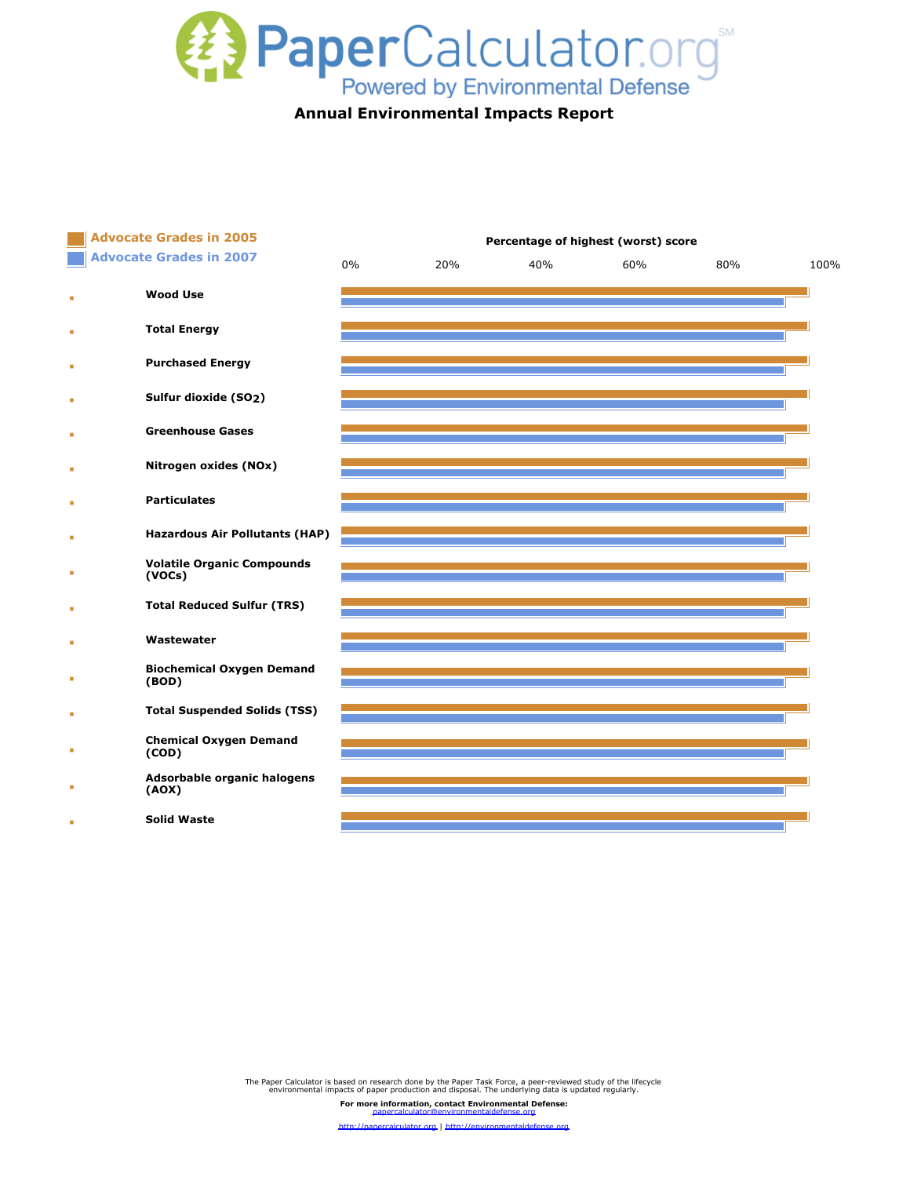

|                                       | Percentage of highest (worst) score |     |     |     |      |  |  |
|---------------------------------------|-------------------------------------|-----|-----|-----|------|--|--|
| 0%                                    | 20%                                 | 40% | 60% | 80% | 100% |  |  |
|                                       |                                     |     |     |     |      |  |  |
|                                       |                                     |     |     |     |      |  |  |
|                                       |                                     |     |     |     |      |  |  |
|                                       |                                     |     |     |     |      |  |  |
|                                       |                                     |     |     |     |      |  |  |
|                                       |                                     |     |     |     |      |  |  |
|                                       |                                     |     |     |     |      |  |  |
| <b>Hazardous Air Pollutants (HAP)</b> |                                     |     |     |     |      |  |  |
|                                       |                                     |     |     |     |      |  |  |
|                                       |                                     |     |     |     |      |  |  |
|                                       |                                     |     |     |     |      |  |  |
| <b>Biochemical Oxygen Demand</b>      |                                     |     |     |     |      |  |  |
| <b>Total Suspended Solids (TSS)</b>   |                                     |     |     |     |      |  |  |
|                                       |                                     |     |     |     |      |  |  |
| Adsorbable organic halogens           |                                     |     |     |     |      |  |  |
|                                       |                                     |     |     |     |      |  |  |
|                                       |                                     |     |     |     |      |  |  |

The Paper Calculator is based on research done by the Paper Task Force, a peer-reviewed study of the lifecycle environmental impacts of paper production and disposal. The underlying data is updated regularly. **For more information, contact Environmental Defense:**

[papercalculator@environmentaldefense.org](mailto:papercalculator@environmentaldefense.org) <http://papercalculator.org> | <http://environmentaldefense.org>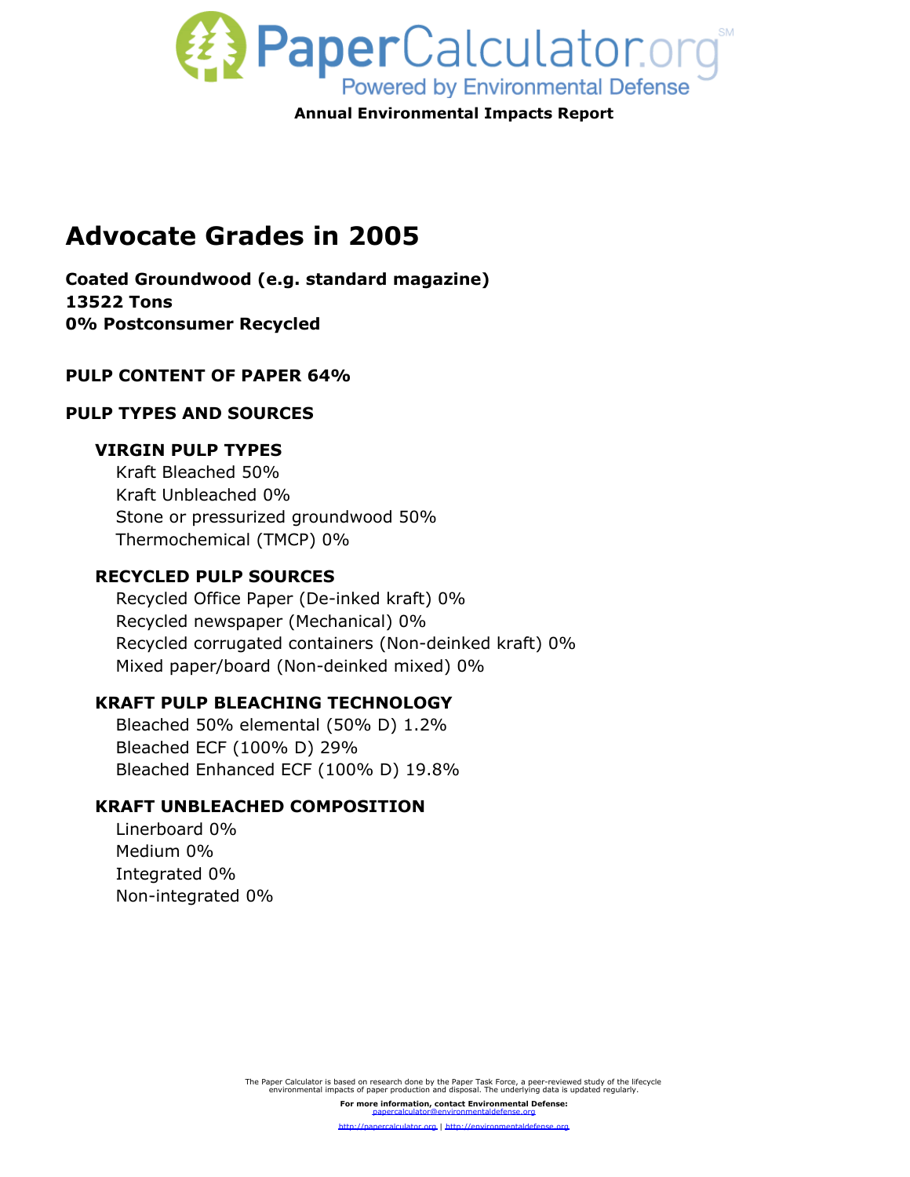

# **Advocate Grades in 2005**

**Coated Groundwood (e.g. standard magazine) 13522 Tons 0% Postconsumer Recycled** 

## **PULP CONTENT OF PAPER 64%**

### **PULP TYPES AND SOURCES**

### **VIRGIN PULP TYPES**

Kraft Bleached 50% Kraft Unbleached 0% Stone or pressurized groundwood 50% Thermochemical (TMCP) 0%

#### **RECYCLED PULP SOURCES**

Recycled Office Paper (De-inked kraft) 0% Recycled newspaper (Mechanical) 0% Recycled corrugated containers (Non-deinked kraft) 0% Mixed paper/board (Non-deinked mixed) 0%

## **KRAFT PULP BLEACHING TECHNOLOGY**

Bleached 50% elemental (50% D) 1.2% Bleached ECF (100% D) 29% Bleached Enhanced ECF (100% D) 19.8%

## **KRAFT UNBLEACHED COMPOSITION**

Linerboard 0% Medium 0% Integrated 0% Non-integrated 0%